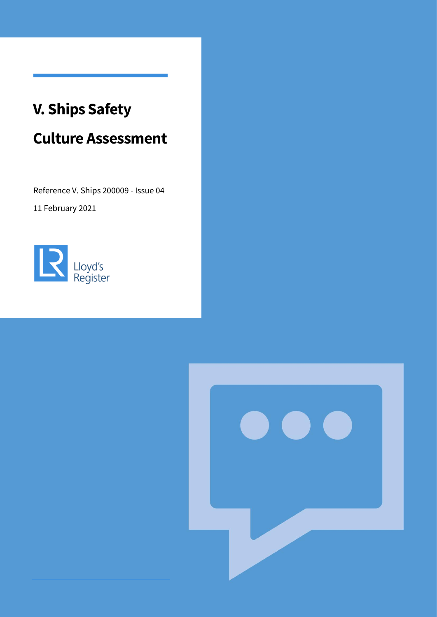# **V. Ships Safety**

# **Culture Assessment**

Reference V. Ships 200009 - Issue 04

11 February 2021



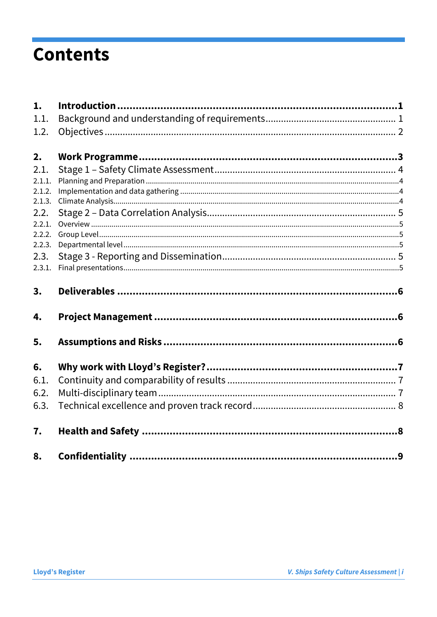# **Contents**

| 1.           |  |
|--------------|--|
| 1.1.         |  |
| 1.2.         |  |
| 2.           |  |
| 2.1.         |  |
| 2.1.1.       |  |
| 2.1.2.       |  |
| 2.1.3.       |  |
| 2.2.         |  |
| 2.2.1.       |  |
| 2.2.2.       |  |
| 2.2.3.       |  |
| 2.3.         |  |
| 2.3.1.       |  |
|              |  |
| 3.           |  |
| 4.           |  |
| 5.           |  |
|              |  |
| 6.           |  |
| 6.1.         |  |
|              |  |
| 6.2.<br>6.3. |  |
| 7.           |  |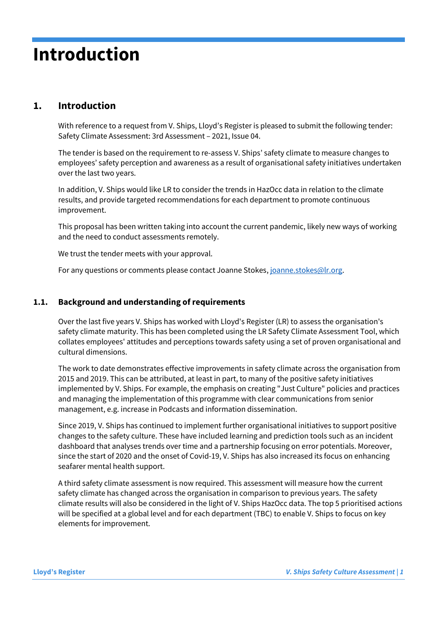# **Introduction**

# <span id="page-2-0"></span>**1. Introduction**

With reference to a request from V. Ships, Lloyd's Register is pleased to submit the following tender: Safety Climate Assessment: 3rd Assessment – 2021, Issue 04.

The tender is based on the requirement to re-assess V. Ships' safety climate to measure changes to employees' safety perception and awareness as a result of organisational safety initiatives undertaken over the last two years.

In addition, V. Ships would like LR to consider the trends in HazOcc data in relation to the climate results, and provide targeted recommendations for each department to promote continuous improvement.

This proposal has been written taking into account the current pandemic, likely new ways of working and the need to conduct assessments remotely.

We trust the tender meets with your approval.

For any questions or comments please contact Joanne Stokes[, joanne.stokes@lr.org.](mailto:joanne.stokes@lr.org)

### <span id="page-2-1"></span>**1.1. Background and understanding of requirements**

Over the last five years V. Ships has worked with Lloyd's Register (LR) to assess the organisation's safety climate maturity. This has been completed using the LR Safety Climate Assessment Tool, which collates employees' attitudes and perceptions towards safety using a set of proven organisational and cultural dimensions.

The work to date demonstrates effective improvements in safety climate across the organisation from 2015 and 2019. This can be attributed, at least in part, to many of the positive safety initiatives implemented by V. Ships. For example, the emphasis on creating "Just Culture" policies and practices and managing the implementation of this programme with clear communications from senior management, e.g. increase in Podcasts and information dissemination.

Since 2019, V. Ships has continued to implement further organisational initiatives to support positive changes to the safety culture. These have included learning and prediction tools such as an incident dashboard that analyses trends over time and a partnership focusing on error potentials. Moreover, since the start of 2020 and the onset of Covid-19, V. Ships has also increased its focus on enhancing seafarer mental health support.

A third safety climate assessment is now required. This assessment will measure how the current safety climate has changed across the organisation in comparison to previous years. The safety climate results will also be considered in the light of V. Ships HazOcc data. The top 5 prioritised actions will be specified at a global level and for each department (TBC) to enable V. Ships to focus on key elements for improvement.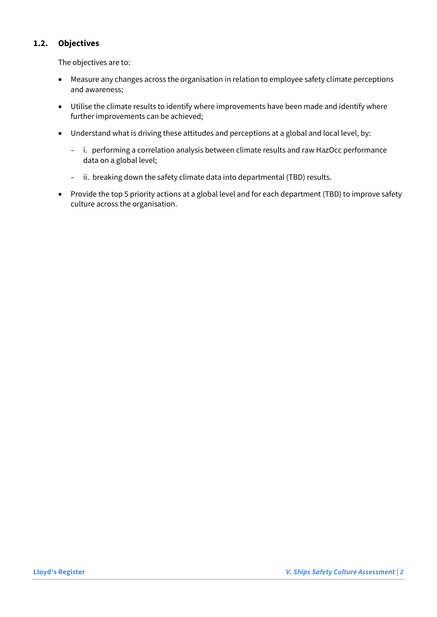## <span id="page-3-0"></span>**1.2. Objectives**

The objectives are to:

- Measure any changes across the organisation in relation to employee safety climate perceptions and awareness;
- Utilise the climate results to identify where improvements have been made and identify where further improvements can be achieved;
- Understand what is driving these attitudes and perceptions at a global and local level, by:
	- i. performing a correlation analysis between climate results and raw HazOcc performance data on a global level;
	- ii. breaking down the safety climate data into departmental (TBD) results.
- Provide the top 5 priority actions at a global level and for each department (TBD) to improve safety culture across the organisation.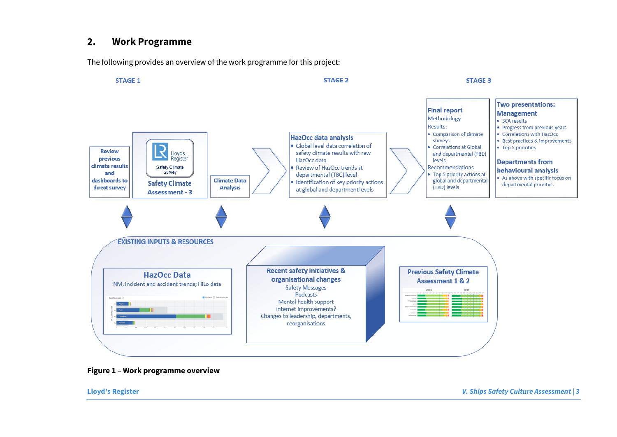## **2. Work Programme**

The following provides an overview of the work programme for this project:

<span id="page-4-0"></span>

#### **Figure 1 – Work programme overview**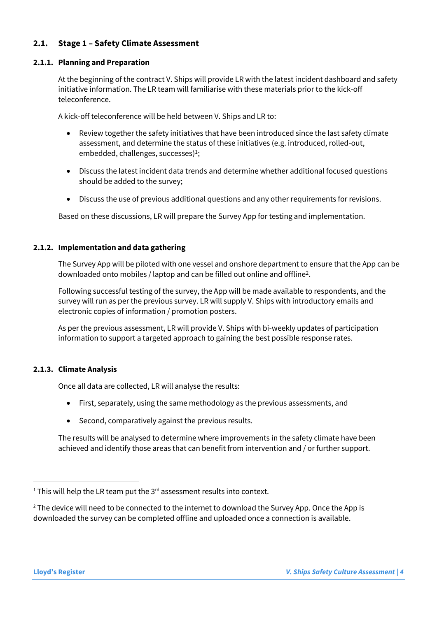## <span id="page-5-0"></span>**2.1. Stage 1 – Safety Climate Assessment**

#### <span id="page-5-1"></span>**2.1.1. Planning and Preparation**

At the beginning of the contract V. Ships will provide LR with the latest incident dashboard and safety initiative information. The LR team will familiarise with these materials prior to the kick-off teleconference.

A kick-off teleconference will be held between V. Ships and LR to:

- Review together the safety initiatives that have been introduced since the last safety climate assessment, and determine the status of these initiatives (e.g. introduced, rolled-out, embedded, challenges, successes) 1 ;
- Discuss the latest incident data trends and determine whether additional focused questions should be added to the survey;
- Discuss the use of previous additional questions and any other requirements for revisions.

Based on these discussions, LR will prepare the Survey App for testing and implementation.

#### <span id="page-5-2"></span>**2.1.2. Implementation and data gathering**

The Survey App will be piloted with one vessel and onshore department to ensure that the App can be downloaded onto mobiles / laptop and can be filled out online and offline<sup>2</sup> .

Following successful testing of the survey, the App will be made available to respondents, and the survey will run as per the previous survey. LR will supply V. Ships with introductory emails and electronic copies of information / promotion posters.

As per the previous assessment, LR will provide V. Ships with bi-weekly updates of participation information to support a targeted approach to gaining the best possible response rates.

#### <span id="page-5-3"></span>**2.1.3. Climate Analysis**

Once all data are collected, LR will analyse the results:

- First, separately, using the same methodology as the previous assessments, and
- Second, comparatively against the previous results.

The results will be analysed to determine where improvements in the safety climate have been achieved and identify those areas that can benefit from intervention and / or further support.

 $2$  The device will need to be connected to the internet to download the Survey App. Once the App is downloaded the survey can be completed offline and uploaded once a connection is available.

<sup>&</sup>lt;sup>1</sup> This will help the LR team put the  $3^{rd}$  assessment results into context.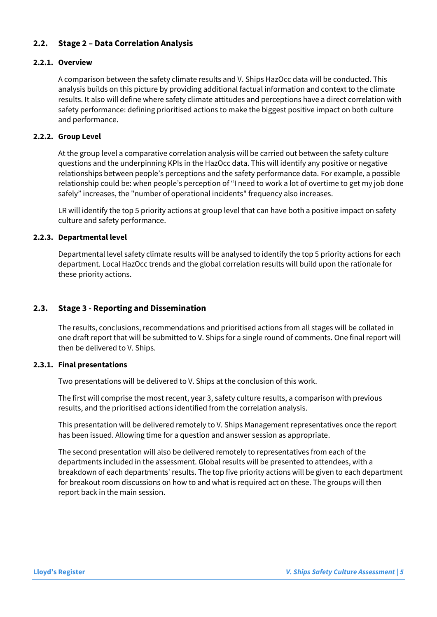### <span id="page-6-0"></span>**2.2. Stage 2 – Data Correlation Analysis**

#### <span id="page-6-1"></span>**2.2.1. Overview**

A comparison between the safety climate results and V. Ships HazOcc data will be conducted. This analysis builds on this picture by providing additional factual information and context to the climate results. It also will define where safety climate attitudes and perceptions have a direct correlation with safety performance: defining prioritised actions to make the biggest positive impact on both culture and performance.

#### <span id="page-6-2"></span>**2.2.2. Group Level**

At the group level a comparative correlation analysis will be carried out between the safety culture questions and the underpinning KPIs in the HazOcc data. This will identify any positive or negative relationships between people's perceptions and the safety performance data. For example, a possible relationship could be: when people's perception of "I need to work a lot of overtime to get my job done safely" increases, the "number of operational incidents" frequency also increases.

LR will identify the top 5 priority actions at group level that can have both a positive impact on safety culture and safety performance.

#### <span id="page-6-3"></span>**2.2.3. Departmental level**

Departmental level safety climate results will be analysed to identify the top 5 priority actions for each department. Local HazOcc trends and the global correlation results will build upon the rationale for these priority actions.

#### <span id="page-6-4"></span>**2.3. Stage 3 - Reporting and Dissemination**

The results, conclusions, recommendations and prioritised actions from all stages will be collated in one draft report that will be submitted to V. Ships for a single round of comments. One final report will then be delivered to V. Ships.

#### <span id="page-6-5"></span>**2.3.1. Final presentations**

Two presentations will be delivered to V. Ships at the conclusion of this work.

The first will comprise the most recent, year 3, safety culture results, a comparison with previous results, and the prioritised actions identified from the correlation analysis.

This presentation will be delivered remotely to V. Ships Management representatives once the report has been issued. Allowing time for a question and answer session as appropriate.

The second presentation will also be delivered remotely to representatives from each of the departments included in the assessment. Global results will be presented to attendees, with a breakdown of each departments' results. The top five priority actions will be given to each department for breakout room discussions on how to and what is required act on these. The groups will then report back in the main session.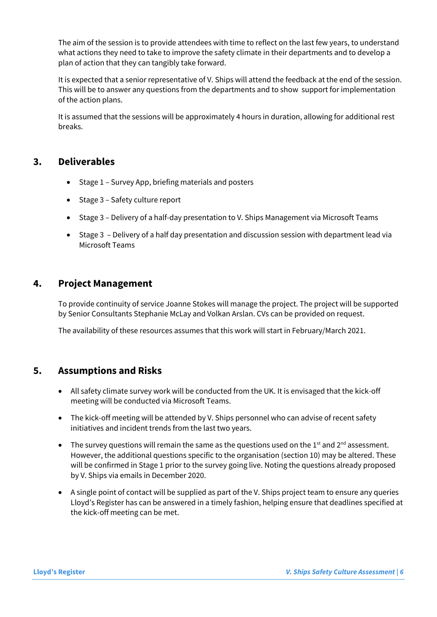The aim of the session is to provide attendees with time to reflect on the last few years, to understand what actions they need to take to improve the safety climate in their departments and to develop a plan of action that they can tangibly take forward.

It is expected that a senior representative of V. Ships will attend the feedback at the end of the session. This will be to answer any questions from the departments and to show support for implementation of the action plans.

<span id="page-7-0"></span>It is assumed that the sessions will be approximately 4 hours in duration, allowing for additional rest breaks.

## **3. Deliverables**

- Stage 1 Survey App, briefing materials and posters
- Stage 3 Safety culture report
- Stage 3 Delivery of a half-day presentation to V. Ships Management via Microsoft Teams
- Stage 3 Delivery of a half day presentation and discussion session with department lead via Microsoft Teams

# <span id="page-7-1"></span>**4. Project Management**

To provide continuity of service Joanne Stokes will manage the project. The project will be supported by Senior Consultants Stephanie McLay and Volkan Arslan. CVs can be provided on request.

The availability of these resources assumes that this work will start in February/March 2021.

## <span id="page-7-2"></span>**5. Assumptions and Risks**

- All safety climate survey work will be conducted from the UK. It is envisaged that the kick-off meeting will be conducted via Microsoft Teams.
- The kick-off meeting will be attended by V. Ships personnel who can advise of recent safety initiatives and incident trends from the last two years.
- The survey questions will remain the same as the questions used on the 1st and 2<sup>nd</sup> assessment. However, the additional questions specific to the organisation (section 10) may be altered. These will be confirmed in Stage 1 prior to the survey going live. Noting the questions already proposed by V. Ships via emails in December 2020.
- A single point of contact will be supplied as part of the V. Ships project team to ensure any queries Lloyd's Register has can be answered in a timely fashion, helping ensure that deadlines specified at the kick-off meeting can be met.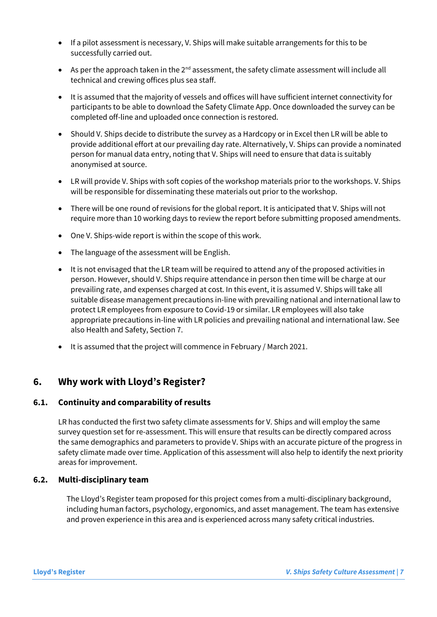- If a pilot assessment is necessary, V. Ships will make suitable arrangements for this to be successfully carried out.
- As per the approach taken in the  $2^{nd}$  assessment, the safety climate assessment will include all technical and crewing offices plus sea staff.
- It is assumed that the majority of vessels and offices will have sufficient internet connectivity for participants to be able to download the Safety Climate App. Once downloaded the survey can be completed off-line and uploaded once connection is restored.
- Should V. Ships decide to distribute the survey as a Hardcopy or in Excel then LR will be able to provide additional effort at our prevailing day rate. Alternatively, V. Ships can provide a nominated person for manual data entry, noting that V. Ships will need to ensure that data is suitably anonymised at source.
- LR will provide V. Ships with soft copies of the workshop materials prior to the workshops. V. Ships will be responsible for disseminating these materials out prior to the workshop.
- There will be one round of revisions for the global report. It is anticipated that V. Ships will not require more than 10 working days to review the report before submitting proposed amendments.
- One V. Ships-wide report is within the scope of this work.
- The language of the assessment will be English.
- It is not envisaged that the LR team will be required to attend any of the proposed activities in person. However, should V. Ships require attendance in person then time will be charge at our prevailing rate, and expenses charged at cost. In this event, it is assumed V. Ships will take all suitable disease management precautions in-line with prevailing national and international law to protect LR employees from exposure to Covid-19 or similar. LR employees will also take appropriate precautions in-line with LR policies and prevailing national and international law. See also Health and Safety, Section 7.
- It is assumed that the project will commence in February / March 2021.

# <span id="page-8-0"></span>**6. Why work with Lloyd's Register?**

### <span id="page-8-1"></span>**6.1. Continuity and comparability of results**

LR has conducted the first two safety climate assessments for V. Ships and will employ the same survey question set for re-assessment. This will ensure that results can be directly compared across the same demographics and parameters to provide V. Ships with an accurate picture of the progress in safety climate made over time. Application of this assessment will also help to identify the next priority areas for improvement.

#### <span id="page-8-2"></span>**6.2. Multi-disciplinary team**

The Lloyd's Register team proposed for this project comes from a multi-disciplinary background, including human factors, psychology, ergonomics, and asset management. The team has extensive and proven experience in this area and is experienced across many safety critical industries.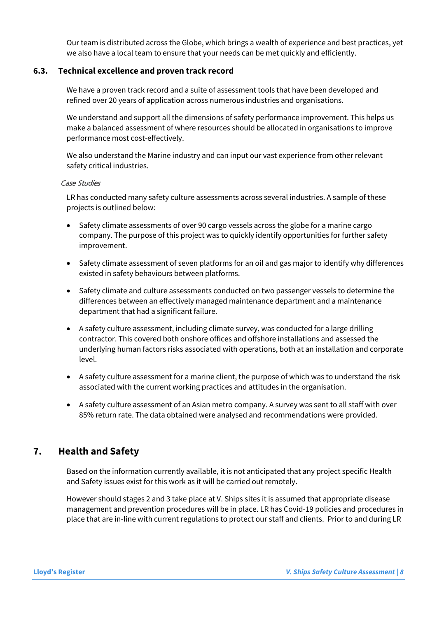Our team is distributed across the Globe, which brings a wealth of experience and best practices, yet we also have a local team to ensure that your needs can be met quickly and efficiently.

#### <span id="page-9-0"></span>**6.3. Technical excellence and proven track record**

We have a proven track record and a suite of assessment tools that have been developed and refined over 20 years of application across numerous industries and organisations.

We understand and support all the dimensions of safety performance improvement. This helps us make a balanced assessment of where resources should be allocated in organisations to improve performance most cost-effectively.

We also understand the Marine industry and can input our vast experience from other relevant safety critical industries.

#### Case Studies

LR has conducted many safety culture assessments across several industries. A sample of these projects is outlined below:

- Safety climate assessments of over 90 cargo vessels across the globe for a marine cargo company. The purpose of this project was to quickly identify opportunities for further safety improvement.
- Safety climate assessment of seven platforms for an oil and gas major to identify why differences existed in safety behaviours between platforms.
- Safety climate and culture assessments conducted on two passenger vessels to determine the differences between an effectively managed maintenance department and a maintenance department that had a significant failure.
- A safety culture assessment, including climate survey, was conducted for a large drilling contractor. This covered both onshore offices and offshore installations and assessed the underlying human factors risks associated with operations, both at an installation and corporate level.
- A safety culture assessment for a marine client, the purpose of which was to understand the risk associated with the current working practices and attitudes in the organisation.
- A safety culture assessment of an Asian metro company. A survey was sent to all staff with over 85% return rate. The data obtained were analysed and recommendations were provided.

# <span id="page-9-1"></span>**7. Health and Safety**

Based on the information currently available, it is not anticipated that any project specific Health and Safety issues exist for this work as it will be carried out remotely.

However should stages 2 and 3 take place at V. Ships sites it is assumed that appropriate disease management and prevention procedures will be in place. LR has Covid-19 policies and procedures in place that are in-line with current regulations to protect our staff and clients. Prior to and during LR